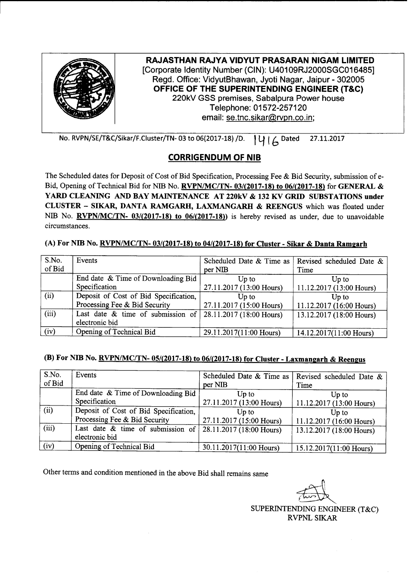

No. RVPN/SE/T&C/Sikar/F.Cluster/TN-03 to 06(2017-18) /D. | | | | | | | Dated 27.11.2017

## **CORRIGENDUM OF NIB**

The Scheduled dates for Deposit of Cost of Bid Specification, Processing Fee & Bid Security, submission of e-Bid, Opening of Technical Bid for NIB No. **RVPN/MC/TN- 03/(2017-18)** to 06/(2017-18) for GENERAL & YARD CLEANING AND BAY MAINTENANCE AT 220kV & 132 KV GRID SUBSTATIONS under CLUSTER - SIKAR, DANTA RAMGARH, LAXMANGARH & REENGUS which was floated under NIB No. **RVPN/MC/TN-** 03/(2017-18) to 06/(2017-18)) is hereby revised as under, due to unavoidable circumstances.

## (A) For NIB No. RVPN/MC/TN- 03/(2017-18) to 04/(2017-18) for Cluster - Sikar & Danta Ramgarh

| S.No.<br>of Bid | Events                                              | per NIB                           | Scheduled Date & Time as   Revised scheduled Date &  <br>Time |
|-----------------|-----------------------------------------------------|-----------------------------------|---------------------------------------------------------------|
|                 | End date & Time of Downloading Bid<br>Specification | Up to<br>27.11.2017 (13:00 Hours) | Up to                                                         |
|                 |                                                     |                                   | 11.12.2017 (13:00 Hours)                                      |
| (ii)            | Deposit of Cost of Bid Specification,               | Up to                             | Up to                                                         |
|                 | Processing Fee & Bid Security                       | 27.11.2017 (15:00 Hours)          | 11.12.2017 (16:00 Hours)                                      |
| (iii)           | Last date $\&$ time of submission of $\vert$        | 28.11.2017 (18:00 Hours)          | 13.12.2017 (18:00 Hours)                                      |
|                 | electronic bid                                      |                                   |                                                               |
| (iv)            | Opening of Technical Bid                            | 29.11.2017(11:00 Hours)           | 14.12.2017(11:00 Hours)                                       |

## (B) For NIB No. *RVPN/MC/TN-* 05/(2017-18) to 06/(2017-18) for Cluster - Laxmangarh & Reengus

| S.No.<br>of Bid | Events                                                 | per NIB                  | Scheduled Date & Time as   Revised scheduled Date &<br>Time |
|-----------------|--------------------------------------------------------|--------------------------|-------------------------------------------------------------|
|                 | End date & Time of Downloading Bid                     | Up to                    | Up to                                                       |
|                 | Specification                                          | 27.11.2017 (13:00 Hours) | 11.12.2017 (13:00 Hours)                                    |
| (ii)            | Deposit of Cost of Bid Specification,                  | Up to                    | Up to                                                       |
|                 | Processing Fee & Bid Security                          | 27.11.2017 (15:00 Hours) | 11.12.2017 (16:00 Hours)                                    |
| (iii)           | Last date $\&$ time of submission of<br>electronic bid | 28.11.2017 (18:00 Hours) | 13.12.2017 (18:00 Hours)                                    |
| (iv)            | Opening of Technical Bid                               | 30.11.2017(11:00 Hours)  | 15.12.2017(11:00 Hours)                                     |

Other terms and condition mentioned in the above Bid shall remains same

~

SUPERINTENDING ENGINEER (T&C) RVPNLSIKAR